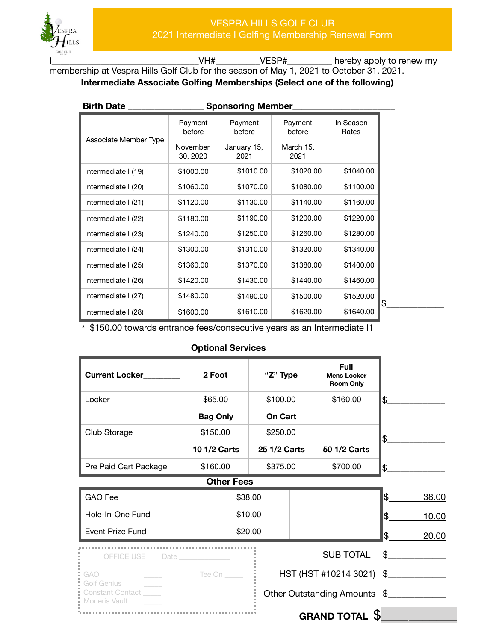

VH#\_\_\_\_\_\_\_\_\_\_VESP#\_\_\_\_\_\_\_\_\_\_\_ hereby apply to renew my membership at Vespra Hills Golf Club for the season of May 1, 2021 to October 31, 2021. **Intermediate Associate Golfing Memberships (Select one of the following)** 

| <b>Birth Date</b>     |                      | <b>Sponsoring Member</b> |                   |                    |
|-----------------------|----------------------|--------------------------|-------------------|--------------------|
|                       | Payment<br>before    | Payment<br>before        | Payment<br>before | In Season<br>Rates |
| Associate Member Type | November<br>30, 2020 | January 15,<br>2021      | March 15,<br>2021 |                    |
| Intermediate I (19)   | \$1000.00            | \$1010.00                | \$1020.00         | \$1040.00          |
| Intermediate I (20)   | \$1060.00            | \$1070.00                | \$1080.00         | \$1100.00          |
| Intermediate I (21)   | \$1120.00            | \$1130.00                | \$1140.00         | \$1160.00          |
| Intermediate I (22)   | \$1180.00            | \$1190.00                | \$1200.00         | \$1220.00          |
| Intermediate I (23)   | \$1240.00            | \$1250.00                | \$1260.00         | \$1280.00          |
| Intermediate I (24)   | \$1300.00            | \$1310.00                | \$1320.00         | \$1340.00          |
| Intermediate I (25)   | \$1360.00            | \$1370.00                | \$1380.00         | \$1400.00          |
| Intermediate I (26)   | \$1420.00            | \$1430.00                | \$1440.00         | \$1460.00          |
| Intermediate I (27)   | \$1480.00            | \$1490.00                | \$1500.00         | \$1520.00          |
| Intermediate I (28)   | \$1600.00            | \$1610.00                | \$1620.00         | \$1640.00          |

\* \$150.00 towards entrance fees/consecutive years as an Intermediate I1

## **Optional Services**

| <b>Current Locker</b>                                   | 2 Foot              | "Z" Type     | Full<br><b>Mens Locker</b><br><b>Room Only</b> |                |       |
|---------------------------------------------------------|---------------------|--------------|------------------------------------------------|----------------|-------|
| Locker                                                  | \$65.00             | \$100.00     | \$160.00                                       | \$             |       |
|                                                         | <b>Bag Only</b>     | On Cart      |                                                |                |       |
| Club Storage                                            | \$150.00            | \$250.00     |                                                | \$             |       |
|                                                         | <b>10 1/2 Carts</b> | 25 1/2 Carts | 50 1/2 Carts                                   |                |       |
| Pre Paid Cart Package                                   | \$160.00            | \$375.00     | \$700.00                                       | \$             |       |
|                                                         | <b>Other Fees</b>   |              |                                                |                |       |
| <b>GAO</b> Fee                                          |                     | \$38.00      |                                                | $\mathfrak{L}$ | 38.00 |
| Hole-In-One Fund                                        |                     | \$10.00      |                                                | $\mathsf{\$}$  | 10.00 |
| <b>Event Prize Fund</b>                                 |                     | \$20.00      |                                                | \$             | 20.00 |
| OFFICE USE                                              |                     |              | <b>SUB TOTAL</b>                               | $^{\circ}$     |       |
| GAO                                                     | Tee On _____        |              | HST (HST #10214 3021) \$                       |                |       |
| Golf Genius<br><b>Constant Contact</b><br>Moneris Vault |                     |              | Other Outstanding Amounts \$                   |                |       |
|                                                         |                     |              | ¢<br>OBAND TOTAL                               |                |       |

**GRAND TOTAL** \$\_\_\_\_\_\_\_\_\_\_\_